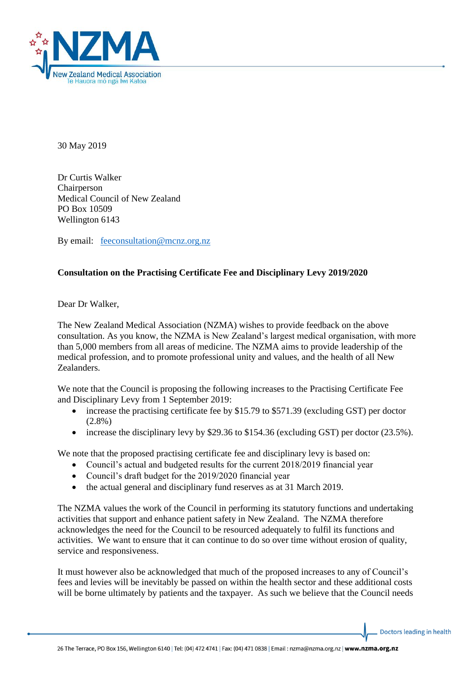

30 May 2019

Dr Curtis Walker Chairperson Medical Council of New Zealand PO Box 10509 Wellington 6143

By email: [feeconsultation@mcnz.org.nz](mailto:feeconsultation@mcnz.org.nz)

## **Consultation on the Practising Certificate Fee and Disciplinary Levy 2019/2020**

Dear Dr Walker,

The New Zealand Medical Association (NZMA) wishes to provide feedback on the above consultation. As you know, the NZMA is New Zealand's largest medical organisation, with more than 5,000 members from all areas of medicine. The NZMA aims to provide leadership of the medical profession, and to promote professional unity and values, and the health of all New Zealanders.

We note that the Council is proposing the following increases to the Practising Certificate Fee and Disciplinary Levy from 1 September 2019:

- increase the practising certificate fee by \$15.79 to \$571.39 (excluding GST) per doctor (2.8%)
- increase the disciplinary levy by \$29.36 to \$154.36 (excluding GST) per doctor (23.5%).

We note that the proposed practising certificate fee and disciplinary levy is based on:

- Council's actual and budgeted results for the current 2018/2019 financial year
- Council's draft budget for the 2019/2020 financial year
- the actual general and disciplinary fund reserves as at 31 March 2019.

The NZMA values the work of the Council in performing its statutory functions and undertaking activities that support and enhance patient safety in New Zealand. The NZMA therefore acknowledges the need for the Council to be resourced adequately to fulfil its functions and activities. We want to ensure that it can continue to do so over time without erosion of quality, service and responsiveness.

It must however also be acknowledged that much of the proposed increases to any of Council's fees and levies will be inevitably be passed on within the health sector and these additional costs will be borne ultimately by patients and the taxpayer. As such we believe that the Council needs

Doctors leading in health